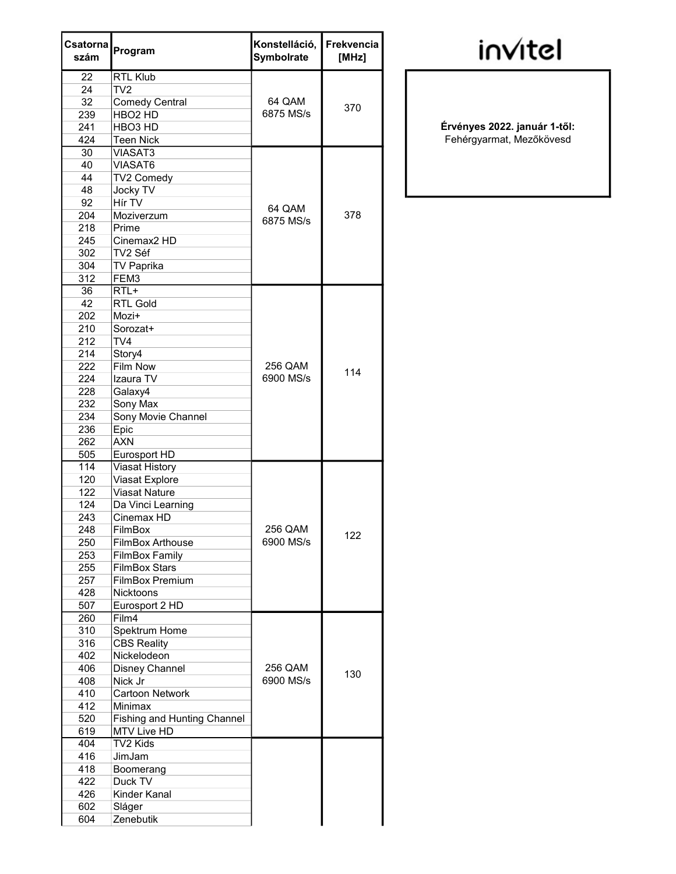| Csatorna<br>szám | Program                            | Konstelláció,<br><b>Symbolrate</b> | Frekvencia<br>[MHz] |
|------------------|------------------------------------|------------------------------------|---------------------|
| 22               | <b>RTL Klub</b>                    |                                    |                     |
| 24               | TV2                                |                                    |                     |
| 32               | <b>Comedy Central</b>              | 64 QAM                             |                     |
| 239              | HBO <sub>2</sub> HD                | 6875 MS/s                          | 370                 |
| 241              | HBO <sub>3</sub> HD                |                                    |                     |
| 424              | <b>Teen Nick</b>                   |                                    |                     |
| 30               | <b>VIASAT3</b>                     |                                    |                     |
| 40               | VIASAT6                            |                                    |                     |
| 44               | TV2 Comedy                         |                                    |                     |
| 48               | <b>Jocky TV</b>                    |                                    |                     |
| 92               | Hír TV                             | 64 QAM                             |                     |
| 204              | Moziverzum                         | 6875 MS/s                          | 378                 |
| 218              | Prime                              |                                    |                     |
| 245              | Cinemax <sub>2</sub> HD            |                                    |                     |
| 302              | TV2 Séf                            |                                    |                     |
| 304              | <b>TV Paprika</b>                  |                                    |                     |
| 312              | FEM3                               |                                    |                     |
| 36               | $RTL+$                             |                                    |                     |
| 42               | <b>RTL Gold</b>                    |                                    |                     |
| 202              | Mozi+                              |                                    |                     |
| 210              | Sorozat+                           |                                    |                     |
| 212              | TV4                                |                                    |                     |
| 214              | Story4                             |                                    |                     |
| 222              | Film Now                           | 256 QAM                            | 114                 |
| 224              | Izaura TV                          | 6900 MS/s                          |                     |
| 228              | Galaxy4                            |                                    |                     |
| 232              | Sony Max                           |                                    |                     |
| 234              | Sony Movie Channel                 |                                    |                     |
| 236              | Epic                               |                                    |                     |
| 262              | <b>AXN</b>                         |                                    |                     |
| 505              | Eurosport HD                       |                                    |                     |
| 114              | <b>Viasat History</b>              |                                    |                     |
| 120              | Viasat Explore                     |                                    |                     |
| 122              | <b>Viasat Nature</b>               |                                    |                     |
| 124              | Da Vinci Learning                  |                                    |                     |
| 243              | Cinemax HD                         |                                    |                     |
| 248              | FilmBox                            | 256 QAM                            |                     |
| 250              | FilmBox Arthouse                   | 6900 MS/s                          | 122                 |
| 253              | <b>FilmBox Family</b>              |                                    |                     |
| 255              | <b>FilmBox Stars</b>               |                                    |                     |
| 257              | <b>FilmBox Premium</b>             |                                    |                     |
| 428              | <b>Nicktoons</b>                   |                                    |                     |
| 507              | Eurosport 2 HD                     |                                    |                     |
| 260              | Film4                              |                                    |                     |
| 310              | Spektrum Home                      |                                    |                     |
| 316              | <b>CBS Reality</b>                 |                                    |                     |
| 402              | Nickelodeon                        |                                    |                     |
| 406              | Disney Channel                     | 256 QAM                            |                     |
| 408              | Nick Jr                            | 6900 MS/s                          | 130                 |
| 410              | <b>Cartoon Network</b>             |                                    |                     |
| 412              | Minimax                            |                                    |                     |
| 520              | <b>Fishing and Hunting Channel</b> |                                    |                     |
| 619              | MTV Live HD                        |                                    |                     |
| 404              | TV2 Kids                           |                                    |                     |
| 416              | JimJam                             |                                    |                     |
| 418              | Boomerang                          |                                    |                     |
| 422              | Duck TV                            |                                    |                     |
| 426              | Kinder Kanal                       |                                    |                     |
|                  |                                    |                                    |                     |
| 602              | Sláger                             |                                    |                     |

## **invitel**

Érvényes 2022. január 1-től: Fehérgyarmat, Mezőkövesd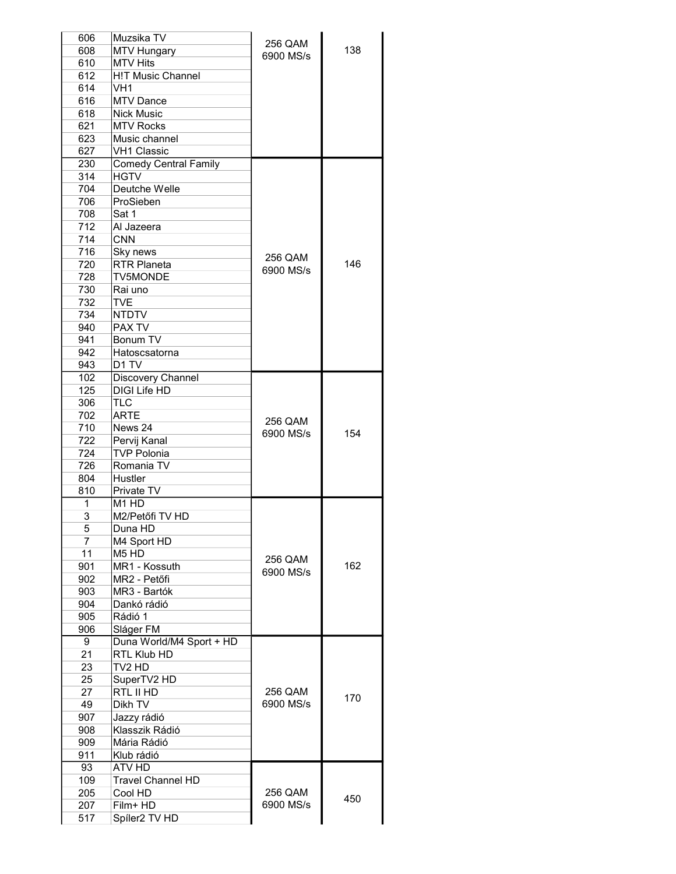| 606            | Muzsika TV                    | 256 QAM   |     |
|----------------|-------------------------------|-----------|-----|
| 608            | <b>MTV Hungary</b>            |           | 138 |
| 610            | <b>MTV Hits</b>               | 6900 MS/s |     |
| 612            | <b>H!T Music Channel</b>      |           |     |
|                |                               |           |     |
| 614            | VH <sub>1</sub>               |           |     |
| 616            | <b>MTV Dance</b>              |           |     |
| 618            | <b>Nick Music</b>             |           |     |
| 621            | <b>MTV Rocks</b>              |           |     |
|                | Music channel                 |           |     |
| 623            |                               |           |     |
| 627            | <b>VH1 Classic</b>            |           |     |
| 230            | <b>Comedy Central Family</b>  |           |     |
| 314            | <b>HGTV</b>                   |           |     |
| 704            | Deutche Welle                 |           |     |
|                |                               |           |     |
| 706            | ProSieben                     |           |     |
| 708            | Sat 1                         |           |     |
| 712            | Al Jazeera                    |           |     |
| 714            | <b>CNN</b>                    |           |     |
|                |                               |           |     |
| 716            | Sky news                      | 256 QAM   |     |
| 720            | <b>RTR Planeta</b>            | 6900 MS/s | 146 |
| 728            | <b>TV5MONDE</b>               |           |     |
| 730            | Rai uno                       |           |     |
| 732            | <b>TVE</b>                    |           |     |
|                |                               |           |     |
| 734            | <b>NTDTV</b>                  |           |     |
| 940            | PAX TV                        |           |     |
| 941            | Bonum TV                      |           |     |
| 942            | Hatoscsatorna                 |           |     |
|                |                               |           |     |
| 943            | D <sub>1</sub> TV             |           |     |
| 102            | Discovery Channel             |           |     |
| 125            | <b>DIGI Life HD</b>           |           |     |
| 306            | <b>TLC</b>                    |           |     |
|                |                               |           |     |
| 702            | <b>ARTE</b>                   | 256 QAM   |     |
| 710            | News 24                       | 6900 MS/s | 154 |
| 722            | Pervij Kanal                  |           |     |
| 724            | <b>TVP Polonia</b>            |           |     |
| 726            | Romania TV                    |           |     |
|                |                               |           |     |
| 804            | Hustler                       |           |     |
| 810            | Private TV                    |           |     |
| 1              | M <sub>1</sub> H <sub>D</sub> |           |     |
| $\overline{3}$ | M2/Petőfi TV HD               |           |     |
|                | Duna HD                       |           |     |
| 5              |                               |           |     |
| $\overline{7}$ | M4 Sport HD                   |           |     |
| 11             | M <sub>5</sub> H <sub>D</sub> |           |     |
| 901            | MR1 - Kossuth                 | 256 QAM   | 162 |
| 902            | MR2 - Petőfi                  | 6900 MS/s |     |
|                |                               |           |     |
| 903            | MR3 - Bartók                  |           |     |
| 904            | Dankó rádió                   |           |     |
| 905            | Rádió 1                       |           |     |
| 906            | Sláger FM                     |           |     |
|                |                               |           |     |
| 9              | Duna World/M4 Sport + HD      |           |     |
| 21             | RTL Klub HD                   |           |     |
| 23             | TV2 HD                        |           |     |
| 25             | SuperTV2 HD                   |           |     |
|                |                               |           |     |
| 27             | RTL II HD                     | 256 QAM   | 170 |
| 49             | Dikh TV                       | 6900 MS/s |     |
| 907            | Jazzy rádió                   |           |     |
| 908            | Klasszik Rádió                |           |     |
|                | Mária Rádió                   |           |     |
| 909            |                               |           |     |
| 911            | Klub rádió                    |           |     |
| 93             | ATV HD                        |           |     |
| 109            | <b>Travel Channel HD</b>      |           |     |
|                | Cool HD                       | 256 QAM   |     |
| 205            |                               |           | 450 |
| 207            | Film+ HD                      | 6900 MS/s |     |
| 517            | Spíler2 TV HD                 |           |     |
|                |                               |           |     |